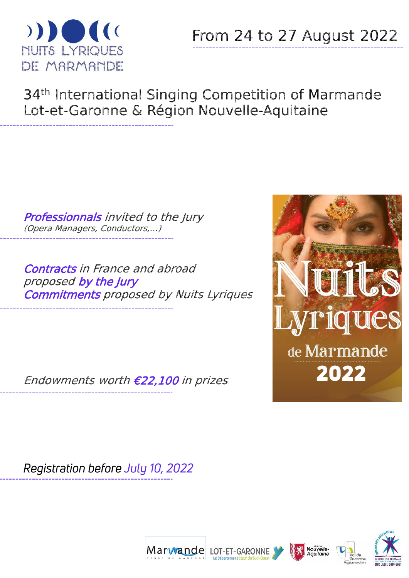

# 34<sup>th</sup> International Singing Competition of Marmande Lot-et-Garonne & Région Nouvelle-Aquitaine

Professionnals invited to the Jury (Opera Managers, Conductors,…)

Contracts in France and abroad proposed by the Jury Commitments proposed by Nuits Lyriques

Endowments worth €22,100 in prizes

Registration before July 10, 2022







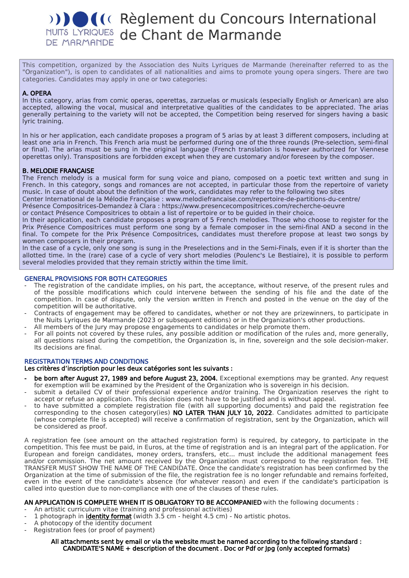# **Réglement du Concours International NUITS LYRIQUES de Chant de Marmande** DE MARMANDE

This competition, organized by the Association des Nuits Lyriques de Marmande (hereinafter referred to as the "Organization"), is open to candidates of all nationalities and aims to promote young opera singers. There are two categories. Candidates may apply in one or two categories:

# A. OPERA

In this category, arias from comic operas, operettas, zarzuelas or musicals (especially English or American) are also accepted, allowing the vocal, musical and interpretative qualities of the candidates to be appreciated. The arias generally pertaining to the variety will not be accepted, the Competition being reserved for singers having a basic lyric training.

In his or her application, each candidate proposes a program of 5 arias by at least 3 different composers, including at least one aria in French. This French aria must be performed during one of the three rounds (Pre-selection, semi-final or final). The arias must be sung in the original language (French translation is however authorized for Viennese operettas only). Transpositions are forbidden except when they are customary and/or foreseen by the composer.

# B. MELODIE FRANÇAISE

The French melody is a musical form for sung voice and piano, composed on a poetic text written and sung in French. In this category, songs and romances are not accepted, in particular those from the repertoire of variety music. In case of doubt about the definition of the work, candidates may refer to the following two sites

Center International de la Mélodie Française : www.melodiefrancaise.com/repertoire-de-partitions-du-centre/

Présence Compositrices-Demandez à Clara : https://www.presencecompositrices.com/recherche-oeuvre

or contact Présence Compositrices to obtain a list of repertoire or to be guided in their choice.

In their application, each candidate proposes a program of 5 French melodies. Those who choose to register for the Prix Présence Compositrices must perform one song by a female composer in the semi-final AND a second in the final. To compete for the Prix Présence Compositrices, candidates must therefore propose at least two songs by women composers in their program.

In the case of a cycle, only one song is sung in the Preselections and in the Semi-Finals, even if it is shorter than the allotted time. In the (rare) case of a cycle of very short melodies (Poulenc's Le Bestiaire), it is possible to perform several melodies provided that they remain strictly within the time limit.

# GENERAL PROVISIONS FOR BOTH CATEGORIES

- The registration of the candidate implies, on his part, the acceptance, without reserve, of the present rules and of the possible modifications which could intervene between the sending of his file and the date of the competition. In case of dispute, only the version written in French and posted in the venue on the day of the competition will be authoritative.
- Contracts of engagement may be offered to candidates, whether or not they are prizewinners, to participate in the Nuits Lyriques de Marmande (2023 or subsequent editions) or in the Organization's other productions.
- All members of the Jury may propose engagements to candidates or help promote them.
- For all points not covered by these rules, any possible addition or modification of the rules and, more generally, all questions raised during the competition, the Organization is, in fine, sovereign and the sole decision-maker. Its decisions are final.

# REGISTRATION TERMS AND CONDITIONS

Les critères d'inscription pour les deux catégories sont les suivants :

- be born after August 27, 1989 and before August 23, 2004. Exceptional exemptions may be granted. Any request for exemption will be examined by the President of the Organization who is sovereign in his decision.
- submit a detailed CV of their professional experience and/or training. The Organization reserves the right to accept or refuse an application. This decision does not have to be justified and is without appeal.
- to have submitted a complete registration file (with all supporting documents) and paid the registration fee corresponding to the chosen category(ies) NO LATER THAN JULY 10, 2022. Candidates admitted to participate (whose complete file is accepted) will receive a confirmation of registration, sent by the Organization, which will be considered as proof.

A registration fee (see amount on the attached registration form) is required, by category, to participate in the competition. This fee must be paid, in Euros, at the time of registration and is an integral part of the application. For European and foreign candidates, money orders, transfers, etc... must include the additional management fees and/or commission. The net amount received by the Organization must correspond to the registration fee. THE TRANSFER MUST SHOW THE NAME OF THE CANDIDATE. Once the candidate's registration has been confirmed by the Organization at the time of submission of the file, the registration fee is no longer refundable and remains forfeited, even in the event of the candidate's absence (for whatever reason) and even if the candidate's participation is called into question due to non-compliance with one of the clauses of these rules.

# AN APPLICATION IS COMPLETE WHEN IT IS OBLIGATORY TO BE ACCOMPANIED with the following documents :

- An artistic curriculum vitae (training and professional activities)
- 1 photograph in **identity format** (width  $3.5$  cm height  $4.5$  cm) No artistic photos.
- A photocopy of the identity document
- Registration fees (or proof of payment)

#### All attachments sent by email or via the website must be named according to the following standard : CANDIDATE'S NAME + description of the document . Doc or Pdf or Jpg (only accepted formats)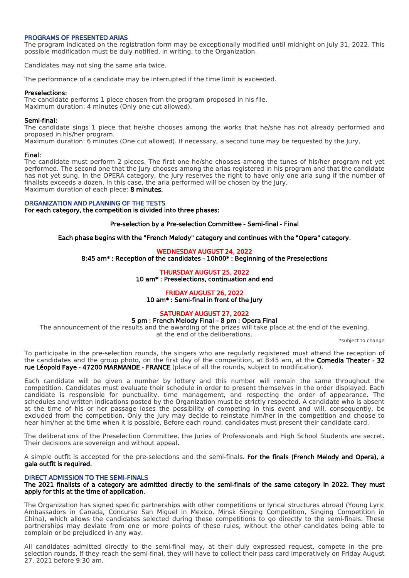#### PROGRAMS OF PRESENTED ARIAS

The program indicated on the registration form may be exceptionally modified until midnight on July 31, 2022. This possible modification must be duly notified, in writing, to the Organization.

Candidates may not sing the same aria twice.

The performance of a candidate may be interrupted if the time limit is exceeded.

#### Preselections:

The candidate performs 1 piece chosen from the program proposed in his file. Maximum duration: 4 minutes (Only one cut allowed).

#### Semi-final:

The candidate sings 1 piece that he/she chooses among the works that he/she has not already performed and proposed in his/her program.

Maximum duration: 6 minutes (One cut allowed). If necessary, a second tune may be requested by the Jury,

#### Final:

The candidate must perform 2 pieces. The first one he/she chooses among the tunes of his/her program not yet performed. The second one that the Jury chooses among the arias registered in his program and that the candidate has not yet sung. In the OPERA category, the Jury reserves the right to have only one aria sung if the number of finalists exceeds a dozen. In this case, the aria performed will be chosen by the Jury. Maximum duration of each piece: 8 minutes.

ORGANIZATION AND PLANNING OF THE TESTS For each category, the competition is divided into three phases:

#### Pre-selection by a Pre-selection Committee - Semi-final - Final

Each phase begins with the "French Melody" category and continues with the "Opera" category.

# WEDNESDAY AUGUST 24, 2022

8:45 am\* : Reception of the candidates - 10h00\* : Beginning of the Preselections

# THURSDAY AUGUST 25, 2022

10 am\* : Preselections, continuation and end

#### FRIDAY AUGUST 26, 2022 10 am\* : Semi-final in front of the Jury

# SATURDAY AUGUST 27, 2022

# 5 pm : French Melody Final – 8 pm : Opera Final

The announcement of the results and the awarding of the prizes will take place at the end of the evening,

at the end of the deliberations.

\*subject to change

To participate in the pre-selection rounds, the singers who are regularly registered must attend the reception of the candidates and the group photo, on the first day of the competition, at 8:45 am, at the **Comedia Theater - 32** rue Léopold Faye - 47200 MARMANDE - FRANCE (place of all the rounds, subject to modification).

Each candidate will be given a number by lottery and this number will remain the same throughout the competition. Candidates must evaluate their schedule in order to present themselves in the order displayed. Each candidate is responsible for punctuality, time management, and respecting the order of appearance. The schedules and written indications posted by the Organization must be strictly respected. A candidate who is absent at the time of his or her passage loses the possibility of competing in this event and will, consequently, be excluded from the competition. Only the Jury may decide to reinstate him/her in the competition and choose to hear him/her at the time when it is possible. Before each round, candidates must present their candidate card.

The deliberations of the Preselection Committee, the Juries of Professionals and High School Students are secret. Their decisions are sovereign and without appeal.

A simple outfit is accepted for the pre-selections and the semi-finals. For the finals (French Melody and Opera), a gala outfit is required.

# DIRECT ADMISSION TO THE SEMI-FINALS

# The 2021 finalists of a category are admitted directly to the semi-finals of the same category in 2022. They must apply for this at the time of application.

The Organization has signed specific partnerships with other competitions or lyrical structures abroad (Young Lyric Ambassadors in Canada, Concurso San Miguel in Mexico, Minsk Singing Competition, Singing Competition in China), which allows the candidates selected during these competitions to go directly to the semi-finals. These partnerships may deviate from one or more points of these rules, without the other candidates being able to complain or be prejudiced in any way.

All candidates admitted directly to the semi-final may, at their duly expressed request, compete in the preselection rounds. If they reach the semi-final, they will have to collect their pass card imperatively on Friday August 27, 2021 before 9:30 am.